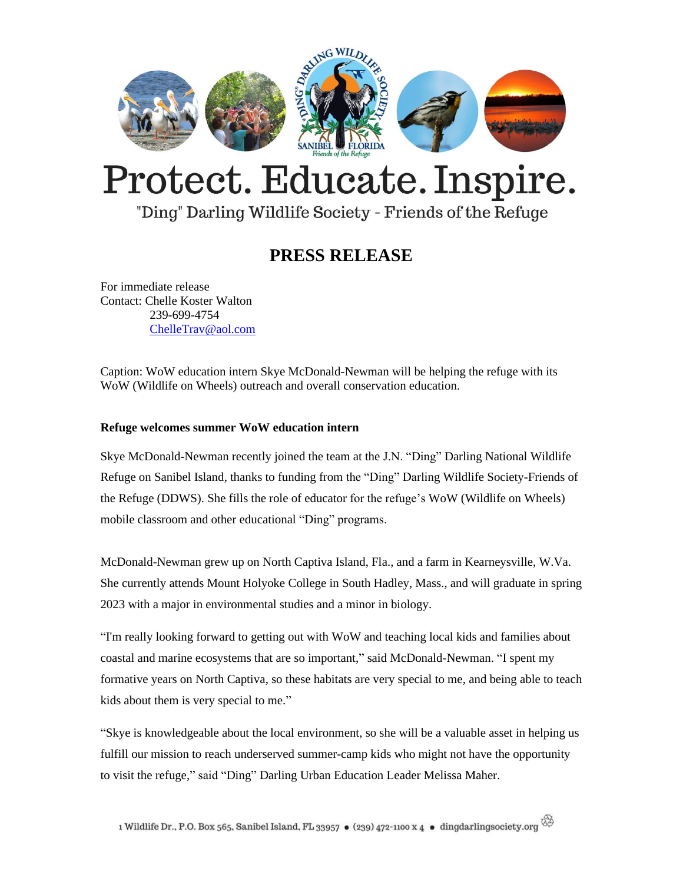

# Protect. Educate. Inspire.

### "Ding" Darling Wildlife Society - Friends of the Refuge

## **PRESS RELEASE**

For immediate release Contact: Chelle Koster Walton 239-699-4754 [ChelleTrav@aol.com](mailto:ChelleTrav@aol.com)

Caption: WoW education intern Skye McDonald-Newman will be helping the refuge with its WoW (Wildlife on Wheels) outreach and overall conservation education.

#### **Refuge welcomes summer WoW education intern**

Skye McDonald-Newman recently joined the team at the J.N. "Ding" Darling National Wildlife Refuge on Sanibel Island, thanks to funding from the "Ding" Darling Wildlife Society-Friends of the Refuge (DDWS). She fills the role of educator for the refuge's WoW (Wildlife on Wheels) mobile classroom and other educational "Ding" programs.

McDonald-Newman grew up on North Captiva Island, Fla., and a farm in Kearneysville, W.Va. She currently attends Mount Holyoke College in South Hadley, Mass., and will graduate in spring 2023 with a major in environmental studies and a minor in biology.

"I'm really looking forward to getting out with WoW and teaching local kids and families about coastal and marine ecosystems that are so important," said McDonald-Newman. "I spent my formative years on North Captiva, so these habitats are very special to me, and being able to teach kids about them is very special to me."

"Skye is knowledgeable about the local environment, so she will be a valuable asset in helping us fulfill our mission to reach underserved summer-camp kids who might not have the opportunity to visit the refuge," said "Ding" Darling Urban Education Leader Melissa Maher.